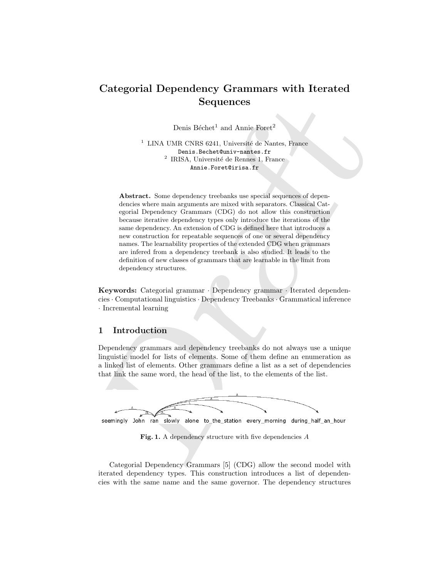# Categorial Dependency Grammars with Iterated Sequences

Denis Béchet<sup>1</sup> and Annie Foret<sup>2</sup>

 $^1$  LINA UMR CNRS 6241, Université de Nantes, France Denis.Bechet@univ-nantes.fr <sup>2</sup> IRISA, Université de Rennes 1, France Annie.Foret@irisa.fr

**Sequences**<br>
Denis Béchet<sup>1</sup> and Annie Forct<sup>2</sup><br>
<sup>1</sup> LINA UMR CNRS 6241, Université de Nautes, France<br>
<sup>2</sup> RISA, Université de Nautes, France<br>
<sup>2</sup> RISA, Université de Rossie<br>
<sup>2</sup> RISA, Université de Rossie<br>
<sup>2</sup> RISA, Univ Abstract. Some dependency treebanks use special sequences of dependencies where main arguments are mixed with separators. Classical Categorial Dependency Grammars (CDG) do not allow this construction because iterative dependency types only introduce the iterations of the same dependency. An extension of CDG is defined here that introduces a new construction for repeatable sequences of one or several dependency names. The learnability properties of the extended CDG when grammars are infered from a dependency treebank is also studied. It leads to the definition of new classes of grammars that are learnable in the limit from dependency structures.

Keywords: Categorial grammar · Dependency grammar · Iterated dependencies · Computational linguistics · Dependency Treebanks · Grammatical inference · Incremental learning

## 1 Introduction

Dependency grammars and dependency treebanks do not always use a unique linguistic model for lists of elements. Some of them define an enumeration as a linked list of elements. Other grammars define a list as a set of dependencies that link the same word, the head of the list, to the elements of the list.



Fig. 1. A dependency structure with five dependencies A

Categorial Dependency Grammars [5] (CDG) allow the second model with iterated dependency types. This construction introduces a list of dependencies with the same name and the same governor. The dependency structures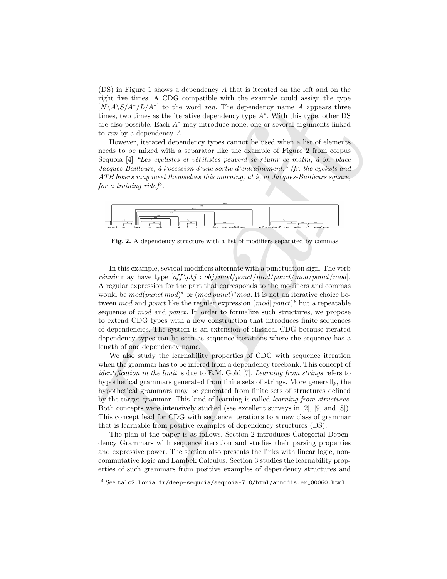(DS) in Figure 1 shows a dependency A that is iterated on the left and on the right five times. A CDG compatible with the example could assign the type  $[N\A\S/A^*/L/A^*]$  to the word *ran*. The dependency name A appears three times, two times as the iterative dependency type A<sup>∗</sup> . With this type, other DS are also possible: Each A<sup>∗</sup> may introduce none, one or several arguments linked to ran by a dependency A.

However, iterated dependency types cannot be used when a list of elements needs to be mixed with a separator like the example of Figure 2 from corpus Sequoia  $[4]$  "Les cyclistes et vététistes peuvent se réunir ce matin, à 9h, place Jacques-Bailleurs, à l'occasion d'une sortie d'entraînement." (fr. the cyclists and ATB bikers may meet themselves this morning, at 9, at Jacques-Bailleurs square, for a training ride)<sup>3</sup>.



Fig. 2. A dependency structure with a list of modifiers separated by commas

Fig. at the times. Not compared who the example would algo the properties the result of  $[N(A|S/A'/I/A^{2}]$  to the word zero. The dependency tome A appears three firsts, two times how the model of the radius of the results of c In this example, several modifiers alternate with a punctuation sign. The verb réunir may have type  $[aff\,setminus obj/mol/ponct/mol/ponct/mol/ponct/mol]$ . A regular expression for the part that corresponds to the modifiers and commas would be  $mod(punct\ mod)^*$  or  $(mod\ punct)^* mod$ . It is not an iterative choice between mod and ponct like the regular expression  $(mod|pont)*$  but a repeatable sequence of mod and ponct. In order to formalize such structures, we propose to extend CDG types with a new construction that introduces finite sequences of dependencies. The system is an extension of classical CDG because iterated dependency types can be seen as sequence iterations where the sequence has a length of one dependency name.

We also study the learnability properties of CDG with sequence iteration when the grammar has to be infered from a dependency treebank. This concept of identification in the limit is due to E.M. Gold [7]. Learning from strings refers to hypothetical grammars generated from finite sets of strings. More generally, the hypothetical grammars may be generated from finite sets of structures defined by the target grammar. This kind of learning is called learning from structures. Both concepts were intensively studied (see excellent surveys in [2], [9] and [8]). This concept lead for CDG with sequence iterations to a new class of grammar that is learnable from positive examples of dependency structures (DS).

The plan of the paper is as follows. Section 2 introduces Categorial Dependency Grammars with sequence iteration and studies their parsing properties and expressive power. The section also presents the links with linear logic, noncommutative logic and Lambek Calculus. Section 3 studies the learnability properties of such grammars from positive examples of dependency structures and

 $3$  See talc2.loria.fr/deep-sequoia/sequoia-7.0/html/annodis.er\_00060.html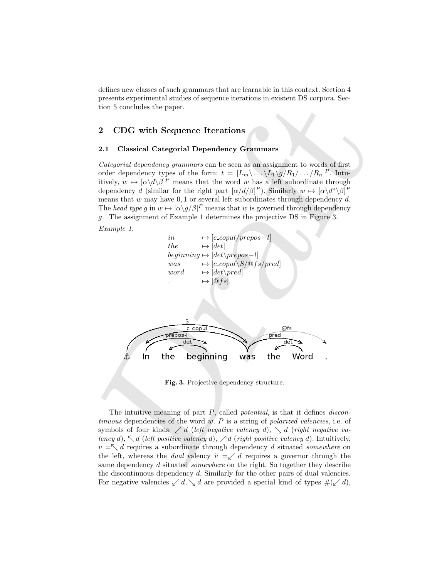defines new classes of such grammars that are learnable in this context. Section 4 presents experimental studies of sequence iterations in existent DS corpora. Section 5 concludes the paper.

# 2 CDG with Sequence Iterations

## 2.1 Classical Categorial Dependency Grammars

Categorial dependency grammars can be seen as an assignment to words of first order dependency types of the form:  $t = [L_m \backslash ... \backslash L_1 \backslash g/R_1 / ... / R_n]^P$ . Intuitively,  $w \mapsto [\alpha \backslash d \backslash \beta]^P$  means that the word w has a left subordinate through dependency d (similar for the right part  $[\alpha/d/\beta]^P$ ). Similarly  $w \mapsto [\alpha \backslash d^* \backslash \beta]^P$ means that  $w$  may have  $0, 1$  or several left subordinates through dependency  $d$ . The head type g in  $w \mapsto [\alpha \setminus g/\beta]^P$  means that w is governed through dependency g. The assignment of Example 1 determines the projective DS in Figure 3.

Example 1.



Fig. 3. Projective dependency structure.

The intuitive meaning of part  $P$ , called *potential*, is that it defines *discon*tinuous dependencies of the word  $w$ .  $P$  is a string of polarized valencies, i.e. of symbols of four kinds:  $\angle d$  (left negative valency d),  $\angle d$  (right negative valency d),  $\nwarrow$  d (left positive valency d),  $\nearrow$  d (right positive valency d). Intuitively,  $v = \nwarrow d$  requires a subordinate through dependency d situated somewhere on the left, whereas the *dual* valency  $\check{v} = \checkmark d$  requires a governor through the same dependency d situated *somewhere* on the right. So together they describe the discontinuous dependency d. Similarly for the other pairs of dual valencies. For negative valencies  $\swarrow d$ ,  $\searrow d$  are provided a special kind of types  $\#(\swarrow d)$ ,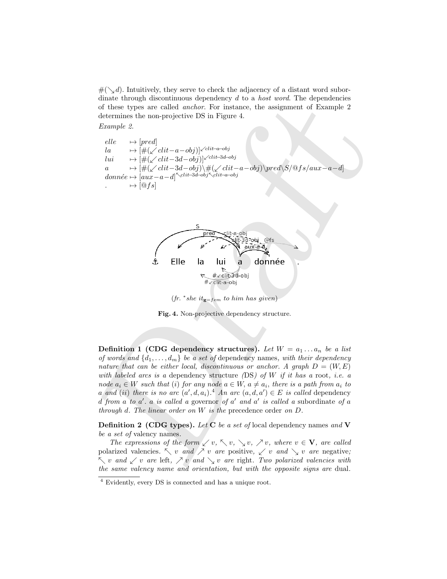$\#(\diagdown d)$ . Intuitively, they serve to check the adjacency of a distant word subordinate through discontinuous dependency  $d$  to a *host word*. The dependencies of these types are called anchor. For instance, the assignment of Example 2 determines the non-projective DS in Figure 4.

Example 2.

 $elle \longrightarrow [pred]$ la  $\mapsto [\#(\sqrt{clit-a}-obj)]^{\sqrt{clit-a}-obj}$ lui  $\mapsto [\#(\swarrow \text{clit}-3d-\text{obj})]^{\swarrow \text{clit}-3d-\text{obj}}$ a  $\rightarrow$  [#(∠ clit-3d-obj)\#(∠ clit-a-obj)\pred\S/\frac{\spax-a-d] donnée  $\mapsto$  [aux−a−d]<sup> $\le$ clit–3d–obj $\le$ clit–a–obj</sup>  $\mapsto [\mathbb Qfs]$ 



 $(fr. * she it_{g=fem} to him has given)$ 

Fig. 4. Non-projective dependency structure.

driften to mapple usefundation is plenting to the substitute (B) of these types are called models. For instance, the assignment of Example 2<br>
Like  $\mapsto \frac{1}{|S|}(\mathcal{L} \frac{dH}{dH} - a - \frac{d\sigma}{d\sigma})^{1/2(1 + \alpha + \sigma)}$ <br>  $\frac{dH}{dt} \mapsto \frac{1$ Definition 1 (CDG dependency structures). Let  $W = a_1 \ldots a_n$  be a list of words and  $\{d_1, \ldots, d_m\}$  be a set of dependency names, with their dependency nature that can be either local, discontinuous or anchor. A graph  $D = (W, E)$ with labeled arcs is a dependency structure  $(DS)$  of W if it has a root, i.e. a node  $a_i \in W$  such that (i) for any node  $a \in W$ ,  $a \neq a_i$ , there is a path from  $a_i$  to a and (ii) there is no arc  $(a', d, a_i)$ .<sup>4</sup> An arc  $(a, d, a') \in E$  is called dependency d from a to  $a'$ . a is called a governor of  $a'$  and  $a'$  is called a subordinate of a through d. The linear order on W is the precedence order on D.

**Definition 2 (CDG types).** Let **C** be a set of local dependency names and **V** be a set of valency names.

The expressions of the form  $\swarrow v$ ,  $\nwarrow v$ ,  $\swarrow v$ ,  $\nearrow v$ , where  $v \in \mathbf{V}$ , are called polarized valencies.  $\searrow v$  and  $\nearrow v$  are positive,  $\nearrow v$  and  $\searrow v$  are negative;  $\nwarrow v$  and  $\swarrow v$  are left,  $\nearrow v$  and  $\searrow v$  are right. Two polarized valencies with the same valency name and orientation, but with the opposite signs are dual.

<sup>4</sup> Evidently, every DS is connected and has a unique root.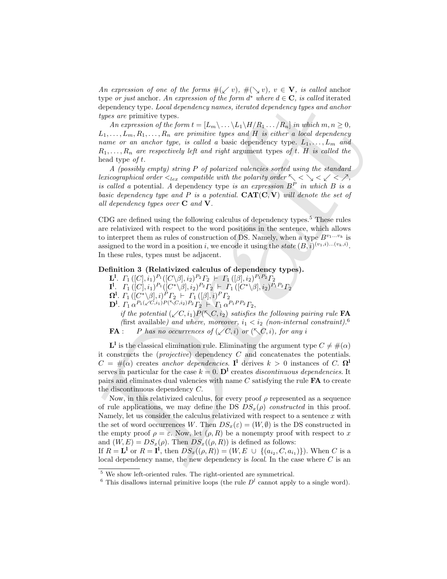An expression of one of the forms  $\#(\swarrow v), \#(\searrow v), v \in V$ , is called anchor type or just anchor. An expression of the form  $d^*$  where  $d \in \mathbb{C}$ , is called iterated dependency type. Local dependency names, iterated dependency types and anchor types are primitive types.

An expression of the form  $t = [L_m \backslash ... \backslash L_1 \backslash H/R_1 ... /R_n]$  in which  $m, n \geq 0$ ,  $L_1, \ldots, L_m, R_1, \ldots, R_n$  are primitive types and H is either a local dependency name or an anchor type, is called a basic dependency type.  $L_1, \ldots, L_m$  and  $R_1, \ldots, R_n$  are respectively left and right argument types of t. H is called the head type  $of t$ .

A (possibly empty) string P of polarized valencies sorted using the standard lexicographical order  $\langle_{lex}$  compatible with the polarity order  $\langle \langle \rangle \langle \langle \rangle \rangle$ is called a potential. A dependency type is an expression  $B<sup>P</sup>$  in which B is a basic dependency type and P is a potential.  $CAT(C, V)$  will denote the set of all dependency types over  $C$  and  $V$ .

CDG are defined using the following calculus of dependency types.<sup>5</sup> These rules are relativized with respect to the word positions in the sentence, which allows to interpret them as rules of construction of DS. Namely, when a type  $B^{v_1...v_k}$  is assigned to the word in a position i, we encode it using the state  $(B, i)^{(v_1, i) \dots (v_k, i)}$ . In these rules, types must be adjacent.

## Definition 3 (Relativized calculus of dependency types).

- $\mathbf{L}^1$ .  $\Gamma_1\left([C],i_1\right)^{P_1}\left([C\backslash\beta],i_2\right)^{P_2}\Gamma_2$   $\vdash$   $\Gamma_1\left([\beta],i_2\right)^{P_1P_2}\Gamma_2$
- $\mathbf{I}^{\mathbf{l}}.\quad \Gamma_{1}\left([C],i_{1}\right) ^{P_{1}}([C^{*}\backslash\beta],i_{2})^{P_{2}}\Gamma_{2}\models \left. \Gamma_{1}\left([C^{*}\backslash\beta],i_{2}\right) ^{P_{1}P_{2}}\Gamma_{2}\right.$
- $\Omega^l.$   $\varGamma_1\left([C^\ast\backslash \beta],i\right)^P\varGamma_2\ \vdash\ \varGamma_1\left([\beta],i\right)^P\varGamma_2$
- $\mathbf{D}^{\mathbf{l}}$ .  $\Gamma_1 \alpha^{P_1(\sqrt{C},i_1)P(\sqrt{C},i_2)P_2} \Gamma_2 + \Gamma_1 \alpha^{P_1PP_2} \Gamma_2$ ,

if the potential  $(\sqrt{C}, i_1)P(\sqrt{C}, i_2)$  satisfies the following pairing rule FA (first available) and where, moreover,  $i_1 < i_2$  (non-internal constraint).<sup>6</sup> **FA** : P has no occurrences of  $(\sqrt{C}, i)$  or  $(\sqrt{C}, i)$ , for any i

 $\mathbf{L}^{\mathbf{l}}$  is the classical elimination rule. Eliminating the argument type  $C \neq \#(\alpha)$ it constructs the (*projective*) dependency  $C$  and concatenates the potentials.  $C = \#(\alpha)$  creates anchor dependencies. I<sup>1</sup> derives  $k > 0$  instances of C.  $\Omega^1$ serves in particular for the case  $k = 0$ .  $\mathbf{D}^1$  creates discontinuous dependencies. It pairs and eliminates dual valencies with name  $C$  satisfying the rule  $FA$  to create the discontinuous dependency C.

sign or pass at<br>since, An expression of the producity and where it  $\infty$ , it can<br>dependency these Lee also the producity and  $\mathbb{R}$  and the dependency of<br>the producity ( $\mathbb{R}$  are producity) and  $\mathbb{R}$  and  $\mathbb{R}$  Now, in this relativized calculus, for every proof  $\rho$  represented as a sequence of rule applications, we may define the DS  $DS<sub>x</sub>(\rho)$  constructed in this proof. Namely, let us consider the calculus relativized with respect to a sentence  $x$  with the set of word occurrences W. Then  $DS_x(\varepsilon) = (W, \emptyset)$  is the DS constructed in the empty proof  $\rho = \varepsilon$ . Now, let  $(\rho, R)$  be a nonempty proof with respect to x and  $(W, E) = DS_x(\rho)$ . Then  $DS_x((\rho, R))$  is defined as follows:

If  $R = L^1$  or  $R = I^1$ , then  $DS_x((\rho, R)) = (W, E \cup \{(a_{i_2}, C, a_{i_1})\})$ . When C is a local dependency name, the new dependency is local. In the case where C is an

<sup>5</sup> We show left-oriented rules. The right-oriented are symmetrical.

<sup>&</sup>lt;sup>6</sup> This disallows internal primitive loops (the rule  $D<sup>l</sup>$  cannot apply to a single word).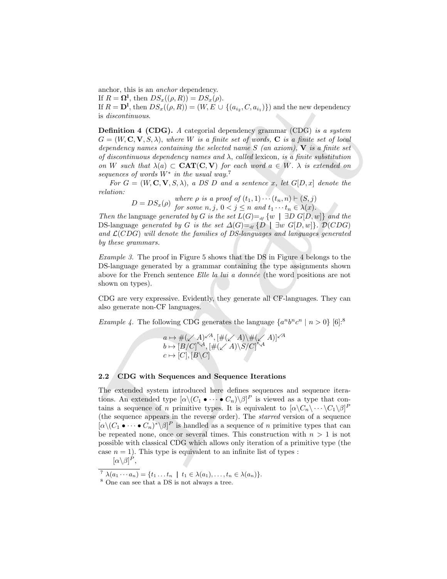anchor, this is an anchor dependency.

If  $R = \mathbf{\Omega}^{\mathbf{l}}$ , then  $DS_x((\rho, R)) = DS_x(\rho)$ .

If  $R = \mathbf{D}^{\mathbf{l}}$ , then  $DS_x((\rho, R)) = (W, E \cup \{(a_{i_2}, C, a_{i_1})\})$  and the new dependency is discontinuous.

Definition 4 (CDG). A categorial dependency grammar (CDG) is a system  $G = (W, \mathbf{C}, \mathbf{V}, S, \lambda)$ , where W is a finite set of words, **C** is a finite set of local dependency names containing the selected name  $S$  (an axiom),  $\bf{V}$  is a finite set of discontinuous dependency names and  $\lambda$ , called lexicon, is a finite substitution on W such that  $\lambda(a) \subset \text{CAT}(C, V)$  for each word  $a \in W$ .  $\lambda$  is extended on sequences of words  $W^*$  in the usual way.<sup>7</sup>

For  $G = (W, \mathbf{C}, \mathbf{V}, S, \lambda)$ , a DS D and a sentence x, let  $G[D, x]$  denote the relation:

 $D = DS_x(\rho)$  where  $\rho$  is a proof of  $(t_1, 1) \cdots (t_n, n) \vdash (S, j)$ for some  $n, j, 0 < j \leq n$  and  $t_1 \cdots t_n \in \lambda(x)$ .

Then the language generated by G is the set  $L(G) =_{df} \{w \mid \exists D \ G[D, w]\}$  and the DS-language generated by G is the set  $\Delta(G) =_{df} \{D \mid \exists w \ G[D,w]\}\$ .  $\mathcal{D}(CDG)$ and  $\mathcal{L}(CDG)$  will denote the families of DS-languages and languages generated by these grammars.

Example 3. The proof in Figure 5 shows that the DS in Figure 4 belongs to the DS-language generated by a grammar containing the type assignments shown above for the French sentence *Elle la lui a donnée* (the word positions are not shown on types).

CDG are very expressive. Evidently, they generate all CF-languages. They can also generate non-CF languages.

*Example 4.* The following CDG generates the language  $\{a^n b^n c^n \mid n > 0\}$  [6]:<sup>8</sup>

$$
a \mapsto #(\swarrow A)^{\swarrow A}, [\#(\swarrow A) \vee \#(\swarrow A)]^{\swarrow A}
$$
  

$$
b \mapsto [B/C]^{\nwarrow A}, [\#(\swarrow A) \setminus S/C]^{\nwarrow A}
$$
  

$$
c \mapsto [C], [B \setminus C]
$$

## 2.2 CDG with Sequences and Sequence Iterations

if  $R = 10$ , then  $DS_2(l_0, R) = D_2s_0(t)$ .<br>
If  $R = D$ , then  $DS_2(l_0, R) = (W, R \cup \{ (a_n, C, a_n) \})$  and the new dependency<br>
is describened.<br>
Definition 4 (CDG). A categorial dependency grammar (CDG) is a system<br>  $G = (W, C, V, S, \lambda)$ , wher The extended system introduced here defines sequences and sequence iterations. An extended type  $[\alpha \backslash (C_1 \bullet \cdots \bullet C_n) \backslash \beta]^P$  is viewed as a type that contains a sequence of *n* primitive types. It is equivalent to  $[\alpha \setminus C_n \setminus \cdots \setminus C_1 \setminus \beta]^P$ (the sequence appears in the reverse order). The starred version of a sequence  $[\alpha \setminus (C_1 \bullet \cdots \bullet C_n)^* \setminus \beta]^P$  is handled as a sequence of n primitive types that can be repeated none, once or several times. This construction with  $n > 1$  is not possible with classical CDG which allows only iteration of a primitive type (the case  $n = 1$ ). This type is equivalent to an infinite list of types :  $^P,$ 

$$
[\alpha \backslash \beta]^P
$$

<sup>7</sup>  $\lambda(a_1 \cdots a_n) = \{t_1 \ldots t_n \mid t_1 \in \lambda(a_1), \ldots, t_n \in \lambda(a_n)\}.$ 

<sup>8</sup> One can see that a DS is not always a tree.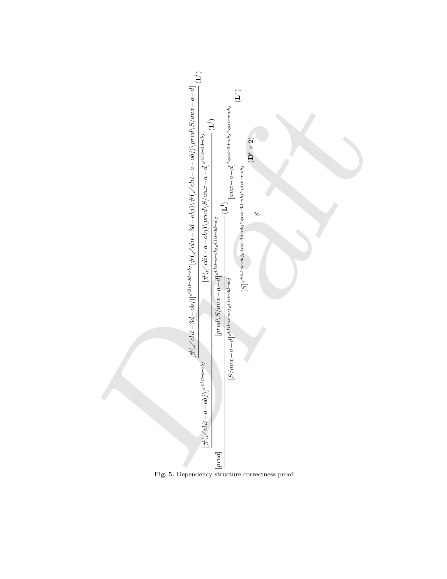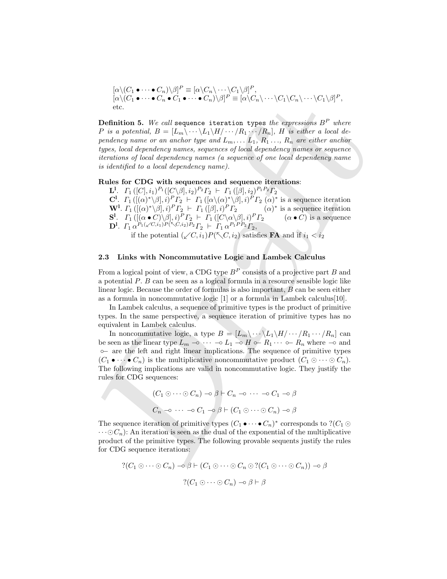$$
[\alpha \setminus (C_1 \bullet \cdots \bullet C_n) \setminus \beta]^P \equiv [\alpha \setminus C_n \setminus \cdots \setminus C_1 \setminus \beta]^P,
$$
  
\n
$$
[\alpha \setminus (C_1 \bullet \cdots \bullet C_n \bullet C_1 \bullet \cdots \bullet C_n) \setminus \beta]^P \equiv [\alpha \setminus C_n \setminus \cdots \setminus C_1 \setminus C_n \setminus \cdots \setminus C_1 \setminus \beta]^P,
$$
  
\netc.

**Definition 5.** We call sequence iteration types the expressions  $B^P$  where P is a potential,  $B = [L_m \backslash \cdots \backslash L_1 \backslash H / \cdots / R_1 \cdots / R_n]$ , H is either a local dependency name or an anchor type and  $L_m, \ldots, L_1, R_1, \ldots, R_n$  are either anchor types, local dependency names, sequences of local dependency names or sequence iterations of local dependency names (a sequence of one local dependency name is identified to a local dependency name).

## Rules for CDG with sequences and sequence iterations:

 $\mathbf{L}^{\mathbf{l}}$ .  $\Gamma_1\left([C],i_1\right)^{P_1}([C\backslash\beta],i_2)^{P_2}\Gamma_2 + \Gamma_1\left([\beta],i_2\right)^{P_1P_2}\Gamma_2$ 

C<sup>1</sup>.  $\Gamma_1([(\alpha)^*\setminus\beta], i)^P\Gamma_2 \vdash \Gamma_1([(\alpha\setminus(\alpha)^*\setminus\beta], i)^P\Gamma_2(\alpha)^*$  is a sequence iteration  $\mathbf{W}^1$ .  $\Gamma_1([(\alpha)^*\setminus\beta],i)^P\Gamma_2 \vdash \Gamma_1([\beta],i)^P\Gamma_2$  ( $\alpha$ )<sup>\*</sup> is a sequence iteration  $\mathbf{S}^1$ .  $\Gamma_1([(\alpha \bullet C)\setminus \beta], i)^P \Gamma_2 \vdash \Gamma_1([C \setminus \alpha \setminus \beta], i)^P \Gamma_2 \qquad (\alpha \bullet C)$  is a sequence  $\mathbf{D}^{\mathbf{l}}$ .  $\Gamma_1 \alpha^{P_1(\sqrt{C},i_1)P(\sqrt{C},i_2)P_2} \Gamma_2 \vdash \Gamma_1 \alpha^{P_1PP_2} \Gamma_2$ ,

if the potential  $(\sqrt{C}, i_1)P(\sqrt{C}, i_2)$  satisfies **FA** and if  $i_1 < i_2$ 

## 2.3 Links with Noncommutative Logic and Lambek Calculus

From a logical point of view, a CDG type  $B^P$  consists of a projective part B and a potential P. B can be seen as a logical formula in a resource sensible logic like linear logic. Because the order of formulas is also important, B can be seen either as a formula in noncommutative logic  $[1]$  or a formula in Lambek calculus [10].

In Lambek calculus, a sequence of primitive types is the product of primitive types. In the same perspective, a sequence iteration of primitive types has no equivalent in Lambek calculus.

 $[0](1, 1, \cdots, 1)$ ,  $[0, 1, \cdots, 1]$ ,  $[0, 1, \cdots, 1]$ ,  $[0, 1, \cdots, 1]$ ,  $[0, 1, \cdots, 1]$ ,  $[0, 1, \cdots, 1]$ ,  $[0, 1, \cdots, 1]$ ,  $[1, 1, \cdots, 1]$ ,  $[1, 1, \cdots, 1]$ ,  $[1, 1, \cdots, 1]$ ,  $[1, 1, \cdots, 1]$ ,  $[1, 1, \cdots, 1]$ ,  $[1, 1, \cdots, 1]$ In noncommutative logic, a type  $B = [L_m \backslash \cdots \backslash L_1 \backslash H / \cdots / R_1 \cdots / R_n]$  can be seen as the linear type  $L_m \to \cdots \to L_1 \to H \to R_1 \cdots \to R_n$  where  $\to$  and ◦− are the left and right linear implications. The sequence of primitive types  $(C_1 \bullet \cdots \bullet C_n)$  is the multiplicative noncommutative product  $(C_1 \odot \cdots \odot C_n)$ . The following implications are valid in noncommutative logic. They justify the rules for CDG sequences:

$$
(C_1 \odot \cdots \odot C_n) \rightarrow \beta \vdash C_n \rightarrow \cdots \rightarrow C_1 \rightarrow \beta
$$
  

$$
C_n \rightarrow \cdots \rightarrow C_1 \rightarrow \beta \vdash (C_1 \odot \cdots \odot C_n) \rightarrow \beta
$$

The sequence iteration of primitive types  $(C_1 \bullet \cdots \bullet C_n)^*$  corresponds to  $?$  ( $C_1 \odot$  $\cdots \odot C_n$ ): An iteration is seen as the dual of the exponential of the multiplicative product of the primitive types. The following provable sequents justify the rules for CDG sequence iterations:

$$
?(C_1 \odot \cdots \odot C_n) \rightarrow \beta \vdash (C_1 \odot \cdots \odot C_n \odot ?(C_1 \odot \cdots \odot C_n)) \rightarrow \beta
$$

$$
?(C_1 \odot \cdots \odot C_n) \rightarrow \beta \vdash \beta
$$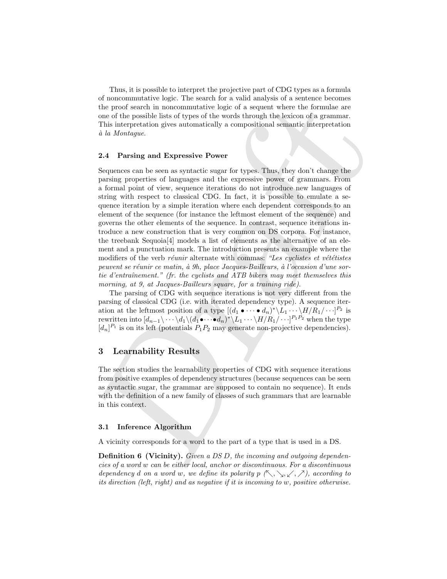Thus, it is possible to interpret the projective part of CDG types as a formula of noncommutative logic. The search for a valid analysis of a sentence becomes the proof search in noncommutative logic of a sequent where the formulae are one of the possible lists of types of the words through the lexicon of a grammar. This interpretation gives automatically a compositional semantic interpretation `a la Montague.

#### 2.4 Parsing and Expressive Power

or noncommutative inget: The section or what analysis of a stellar<br>there is proof search in noncommutative logic of a sequent where the formulas are<br>not search in noncommutative logic of a sequent where the formulas are<br>n Sequences can be seen as syntactic sugar for types. Thus, they don't change the parsing properties of languages and the expressive power of grammars. From a formal point of view, sequence iterations do not introduce new languages of string with respect to classical CDG. In fact, it is possible to emulate a sequence iteration by a simple iteration where each dependent corresponds to an element of the sequence (for instance the leftmost element of the sequence) and governs the other elements of the sequence. In contrast, sequence iterations introduce a new construction that is very common on DS corpora. For instance, the treebank Sequoia[4] models a list of elements as the alternative of an element and a punctuation mark. The introduction presents an example where the modifiers of the verb *réunir* alternate with commas: "Les cyclistes et vététistes peuvent se réunir ce matin, à 9h, place Jacques-Bailleurs, à l'occasion d'une sortie d'entraînement." (fr. the cyclists and ATB bikers may meet themselves this morning, at 9, at Jacques-Bailleurs square, for a training ride).

The parsing of CDG with sequence iterations is not very different from the parsing of classical CDG (i.e. with iterated dependency type). A sequence iteration at the leftmost position of a type  $[(d_1 \bullet \cdots \bullet d_n)^* \setminus L_1 \cdots \setminus H/R_1 / \cdots]^{P_2}$  is rewritten into  $[d_{n-1}\rangle \cdots \backslash d_1 \backslash (d_1 \bullet \cdots \bullet d_n)^* \backslash L_1 \cdots \backslash H/R_1 / \cdots]^{P_1 P_2}$  when the type  $[d_n]^{P_1}$  is on its left (potentials  $P_1P_2$  may generate non-projective dependencies).

## 3 Learnability Results

The section studies the learnability properties of CDG with sequence iterations from positive examples of dependency structures (because sequences can be seen as syntactic sugar, the grammar are supposed to contain no sequence). It ends with the definition of a new family of classes of such grammars that are learnable in this context.

## 3.1 Inference Algorithm

A vicinity corresponds for a word to the part of a type that is used in a DS.

**Definition 6 (Vicinity).** Given a DS D, the incoming and outgoing dependencies of a word w can be either local, anchor or discontinuous. For a discontinuous dependency d on a word w, we define its polarity  $p(\nwarrow, \searrow, \swarrow, \nearrow)$ , according to its direction (left, right) and as negative if it is incoming to w, positive otherwise.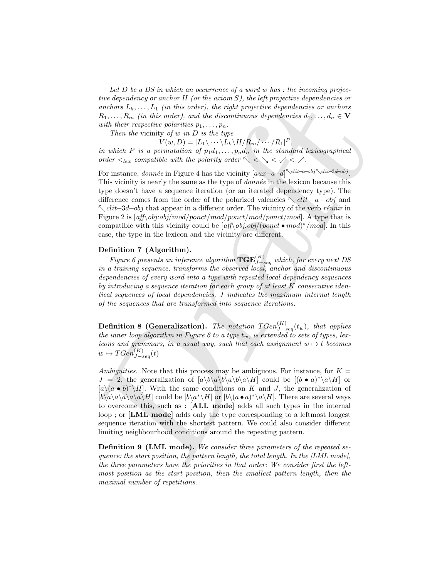Let D be a DS in which an occurrence of a word w has  $:$  the incoming projective dependency or anchor  $H$  (or the axiom S), the left projective dependencies or anchors  $L_k, \ldots, L_1$  (in this order), the right projective dependencies or anchors  $R_1, \ldots, R_m$  (in this order), and the discontinuous dependencies  $d_1, \ldots, d_n \in \mathbf{V}$ with their respective polarities  $p_1, \ldots, p_n$ .

Then the vicinity of  $w$  in  $D$  is the type

 $V(w, D) = [L_1 \backslash \cdots \backslash L_k \backslash H / R_m / \cdots / R_1]^P,$ 

in which P is a permutation of  $p_1d_1, \ldots, p_nd_n$  in the standard lexicographical order  $\langle$ <sub>lex</sub> compatible with the polarity order  $\langle \langle \rangle \langle \langle \rangle \langle \rangle$ .

are septenting to attention to the tastes of the large state of the matrix of the matrix  $R_1, ..., R_n$  (to this order), the toying therefore, and the decrease of matrix  $R_1, ..., R_n$ . Thus, the parameters of the decrease of the d For instance, *donnée* in Figure 4 has the vicinity  $[aux-a-d]^{\\\sim \text{clit}-a-obj\sim \text{clit}-3d-obj}$ . This vicinity is nearly the same as the type of  $\text{domnée}$  in the lexicon because this type doesn't have a sequence iteration (or an iterated dependency type). The difference comes from the order of the polarized valencies  $\sqrt{\text{clit}-a-obj}$  and  $\sim$  clit–3d–obj that appear in a different order. The vicinity of the verb réunir in Figure 2 is  $[aff \& obj:obj/mol/ponct/mol/ponct/mol/ponct/mol]$ . A type that is compatible with this vicinity could be  $[aff \mid obj:obj/(ponct \bullet mod)^* /mod]$ . In this case, the type in the lexicon and the vicinity are different.

## Definition 7 (Algorithm).

Figure 6 presents an inference algorithm  $\mathbf{TGE}^{(K)}_{J-seq}$  which, for every next DS in a training sequence, transforms the observed local, anchor and discontinuous dependencies of every word into a type with repeated local dependency sequences by introducing a sequence iteration for each group of at least  $K$  consecutive identical sequences of local dependencies. J indicates the maximum internal length of the sequences that are transformed into sequence iterations.

Definition 8 (Generalization). The notation  $TGen^{(K)}_{J-seq}(t_w)$ , that applies the inner loop algorithm in Figure 6 to a type  $t_w$ , is extended to sets of types, lexicons and grammars, in a usual way, such that each assignment  $w \mapsto t$  becomes  $w \mapsto TGen_{J-seq}^{(K)}(t)$ 

Ambiguities. Note that this process may be ambiguous. For instance, for  $K =$  $J = 2$ , the generalization of  $[a\backslash b\backslash a\backslash b\backslash a\backslash b\backslash a\backslash H]$  could be  $[(b \bullet a)^*\backslash a\backslash H]$  or  $[a\setminus (a \bullet b)^*\setminus H]$ . With the same conditions on K and J, the generalization of  $[b\setminus a\setminus a\setminus a\setminus A]$  could be  $[b\setminus a^*\setminus H]$  or  $[b\setminus (a \bullet a)^*\setminus a\setminus H]$ . There are several ways to overcome this, such as : [ALL mode] adds all such types in the internal loop ; or [LML mode] adds only the type corresponding to a leftmost longest sequence iteration with the shortest pattern. We could also consider different limiting neighbourhood conditions around the repeating pattern.

Definition 9 (LML mode). We consider three parameters of the repeated sequence: the start position, the pattern length, the total length. In the [LML mode], the three parameters have the priorities in that order: We consider first the leftmost position as the start position, then the smallest pattern length, then the maximal number of repetitions.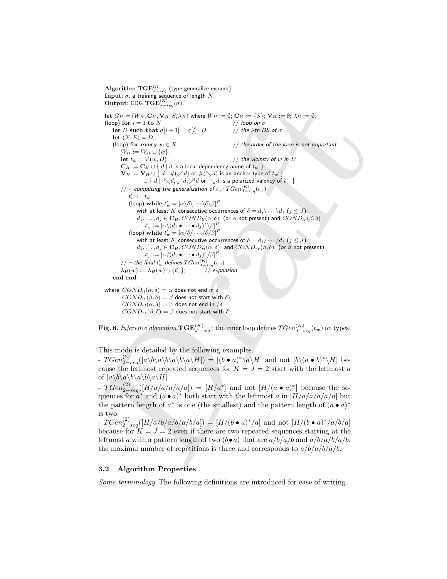Ominic CDC TCD( $\sum_{i=1}^{n} f(x_i) = 0$ ,  $M_i = 0$ ,  $M_i = 0$ ,  $M_i = 0$ ,  $M_i = 0$ ,  $M_i = 0$ ,  $M_i = 0$ ,  $M_i = 0$ ,  $M_i = 0$ ,  $M_i = 0$ ,  $M_i = 0$ ,  $M_i = 0$ ,  $M_i = 0$ ,  $M_i = 0$ ,  $M_i = 0$ ,  $M_i = 0$ ,  $M_i = 0$ ,  $M_i = 0$ ,  $M_i = 0$ ,  $M_i = 0$ ,  $M_i = 0$ ,  $M_i =$  $\mathbf{Algorithm} \; \mathbf{TGE}^{(K)}_{J-seq}$  (type-generalize-expand): Input:  $\sigma$ , a training sequence of length  $N$ . **Output: CDG TGE** $_{J-seq}^{(K)}(\sigma)$ . let  $G_H = (W_H, \mathbf{C}_H, \mathbf{V}_H, S, \lambda_H)$  where  $W_H := \emptyset$ ;  $\mathbf{C}_H := \{S\}$ ;  $\mathbf{V}_H := \emptyset$ ;  $\lambda_H := \emptyset$ ; (loop) for  $i = 1$  to  $N$  // loop on  $\sigma$ (loop) for  $i = 1$  to  $N$  // loop on  $\sigma$ <br>let  $D$  such that  $\sigma[i+1] = \sigma[i] \cdot D$ ; // the *i*-th DS of  $\sigma$ let D such that  $\sigma[i+1] = \sigma[i] \cdot D;$ let  $(X, E) = D$ ; (loop) for every  $w \in X$  // the order of the loop is not important  $W_H := W_H \cup \{w\};$ let  $t_w = V(w, D)$  // the vicinity of w in D  $\mathbf{C}_H := \mathbf{C}_H \cup \{ d \mid d$  is a local dependency name of  $t_w$  }  $\mathbf{V}_H := \mathbf{V}_H \cup \Set{d \mid \#(\swarrow d) \text{ or } \#(\searrow d) \text{ is an anchor type of } t_w}$ ∪ {  $d \mid \nwarrow d, \swarrow d, \nearrow d$  or  $\searrow d$  is a polarized valency of  $t_w$  }  $\ell \slash \slash \ \textcolor{red}{\prime}$  – computing the generalization of  $t_w$ :  $TGen^{(K)}_{J-seq}(t_w)$  $t'_w := t_w$ (loop) while  $t'_w = [\alpha \backslash \delta \backslash \cdots \backslash \delta \backslash \beta]^P$ with at least K consecutive occurrences of  $\delta = d_j \backslash \cdots \backslash d_1$   $(j \leq J)$ ,  $d_1, \ldots, d_j \in \mathbf{C}_H, COND_{ll}(\alpha, \delta)$  (or  $\alpha$  not present) and  $COND_{lr}(\beta, \delta)$  $t'_w := [\alpha \backslash (d_1 \bullet \cdots \bullet d_j)^* \backslash \beta]^P$ (loop) while  $t'_w = [\alpha/\delta/\cdots/\delta/\beta]^P$ with at least K consecutive occurrences of  $\delta = d_j / \cdots / d_1$   $(j \leq J)$ ,  $d_1, \ldots, d_j \in \mathbf{C}_H, COND_{rl}(\alpha, \delta)$  and  $COND_{rr}(\beta, \delta)$  (or  $\beta$  not present)  $t'_w := [\alpha/(d_1 \bullet \cdots \bullet d_j)^*/\beta]^P$  $\ell \slash \slash \hspace{-0.8em} \mid$   $\ell'$  defines  $TGen^{(K)}_{J-seq}(t_w)$  $\lambda_H(w) := \lambda_H(w) \cup \{t'_n\}$  $//$  expansion end end where  $COND_{ll}(\alpha, \delta) = \alpha$  does not end in  $\delta$  $COMP_{lr}(\beta, \delta) = \beta$  does not start with  $\delta\setminus$  $COND_{rl}(\alpha, \delta) = \alpha$  does not end in  $\delta$ 

 $COMP_{rr}(\beta, \delta) = \beta$  does not start with  $\delta$ 

**Fig. 6.** *Inference algorithm*  $\mathbf{TGE}^{(K)}_{J-seq}$  ; the inner loop defines  $TGen^{(K)}_{J-seq}(t_w)$  on types.

This mode is detailed by the following examples.

-  $T Gen_{2-seq}^{(2)}([a\backslash b\backslash a\backslash b\backslash a\backslash H]) = [(b \bullet a)^*\backslash a\backslash H]$  and not  $[b\backslash (a \bullet b)^*\backslash H]$  because the leftmost repeated sequences for  $K = J = 2$  start with the leftmost a of  $[a\backslash b\backslash a\backslash b\backslash a\backslash b\backslash a\backslash H]$ 

-  $T Gen_{2-seq}^{(2)}([H/a/a/a/a/a]) = [H/a<sup>*</sup>]$  and not  $[H/(a \bullet a)<sup>*</sup>]$  because the sequences for  $a^*$  and  $(a \cdot a)^*$  both start with the leftmost a in  $[H/a/a/a/a]$  but the pattern length of  $a^*$  is one (the smallest) and the pattern length of  $(a \bullet a)^*$ is two.

-  $T Gen^{(2)}_{2-seq}([H/a/b/a/b/a/b/a]) = [H/(b • a)*/a]$  and not  $[H/(b • a)*/a/b/a]$ because for  $K = J = 2$  even if there are two repeated sequences starting at the leftmost a with a pattern length of two  $(b \cdot a)$  that are  $a/b/a/b$  and  $a/b/a/b/a/b$ , the maximal number of repetitions is three and corresponds to  $a/b/a/b/a/b$ .

#### 3.2 Algorithm Properties

Some terminology The following definitions are introduced for ease of writing.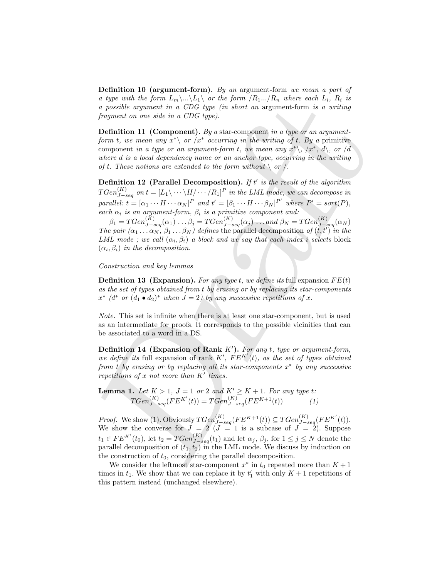Definition 10 (argument-form). By an argument-form we mean a part of a type with the form  $L_m\setminus\ldots\setminus L_1\setminus\sigma r$  the form  $/R_1\ldots/R_n$  where each  $L_i$ ,  $R_i$  is a possible argument in a CDG type (in short an argument-form is a writing fragment on one side in a CDG type).

Definition 11 (Component). By a star-component in a type or an argumentform t, we mean any  $x^* \backslash$  or  $\langle x^* \rangle$  occurring in the writing of t. By a primitive component in a type or an argument-form t, we mean any  $x^*\rangle$ ,  $\langle x^*, d \rangle$ , or  $\langle d \rangle$ where d is a local dependency name or an anchor type, occurring in the writing of t. These notions are extended to the form without  $\setminus$  or  $\setminus$ .

Definition 12 (Parallel Decomposition). If t' is the result of the algorithm  $TGen^{(K)}_{J-seq}$  on  $t = [L_1\backslash \cdots \backslash H/\cdots /R_1]^P$  in the LML mode, we can decompose in parallel:  $t = [\alpha_1 \cdots H \cdots \alpha_N]^P$  and  $t' = [\beta_1 \cdots H \cdots \beta_N]^{P'}$  where  $P' = sort(P)$ , each  $\alpha_i$  is an argument-form,  $\beta_i$  is a primitive component and:

 $\beta_1 = TGen_{J-seq}^{(K)}(\alpha_1) \dots \beta_j = TGen_{J-seq}^{(K)}(\alpha_j) \dots and \beta_N = TGen_{J-seq}^{(K)}(\alpha_N)$ The pair  $(\alpha_1 \ldots \alpha_N, \beta_1 \ldots \beta_N)$  defines the parallel decomposition of  $(t, t')$  in the LML mode ; we call  $(\alpha_i, \beta_i)$  a block and we say that each index i selects block  $(\alpha_i, \beta_i)$  in the decomposition.

Construction and key lemmas

**Definition 13 (Expansion).** For any type t, we define its full expansion  $FE(t)$ as the set of types obtained from t by erasing or by replacing its star-components  $x^*$  (d<sup>\*</sup> or  $(d_1 \bullet d_2)^*$  when  $J = 2$ ) by any successive repetitions of x.

Note. This set is infinite when there is at least one star-component, but is used as an intermediate for proofs. It corresponds to the possible vicinities that can be associated to a word in a DS.

Definition 14 (Expansion of Rank  $K'$ ). For any t, type or argument-form, we define its full expansion of rank  $K'$ ,  $FE^{K'}(t)$ , as the set of types obtained from t by erasing or by replacing all its star-components  $x^*$  by any successive repetitions of  $x$  not more than  $K'$  times.

**Lemma 1.** Let  $K > 1$ ,  $J = 1$  or 2 and  $K' \ge K + 1$ . For any type t:  $TGen^{(K)}_{J-seq}(FE^{K'}(t)) = TGen^{(K)}_{J-seq}(FE^{K+1}(t))$  (1)

a type solar tae joint  $\log N$ . Not the *ff*  $\lim_{M \to \infty}$  that  $\log N$  a more each  $L_i$ ,  $R_i$  is a more than the control of  $\log N$ . The mass of  $\log N$  and  $\log N$  and  $\log N$  and  $\log N$  and  $\log N$  and  $\log N$  and  $\log N$  and  $\log N$  and  $\$ *Proof.* We show (1). Obviously  $TGen_{J-seq}^{(K)}(FE^{K+1}(t)) \subseteq TGen_{J-seq}^{(K)}(FE^{K'}(t)).$ We show the converse for  $J = 2$   $(J = 1$  is a subcase of  $J = 2$ . Suppose  $t_1 \in FE^{K'}(t_0)$ , let  $t_2 = TGen_{J-seq}^{(K)}(t_1)$  and let  $\alpha_j$ ,  $\beta_j$ , for  $1 \le j \le N$  denote the parallel decomposition of  $(t_1, t_2)$  in the LML mode. We discuss by induction on the construction of  $t_0$ , considering the parallel decomposition.

We consider the leftmost star-component  $x^*$  in  $t_0$  repeated more than  $K + 1$ times in  $t_1$ . We show that we can replace it by  $t'_1$  with only  $K + 1$  repetitions of this pattern instead (unchanged elsewhere).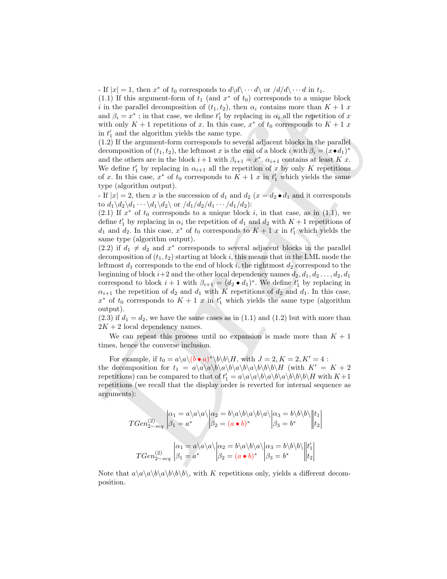- If  $|x| = 1$ , then  $x^*$  of  $t_0$  corresponds to  $d\langle d\langle \cdots d\rangle$  or  $\langle d/d\rangle \cdots d$  in  $t_1$ .

(1.1) If this argument-form of  $t_1$  (and  $x^*$  of  $t_0$ ) corresponds to a unique block i in the parallel decomposition of  $(t_1, t_2)$ , then  $\alpha_i$  contains more than  $K + 1$  x and  $\beta_i = x^*$ ; in that case, we define  $t'_1$  by replacing in  $\alpha_i$  all the repetition of x with only  $K + 1$  repetitions of x. In this case,  $x^*$  of  $t_0$  corresponds to  $K + 1$  x in  $t'_1$  and the algorithm yields the same type.

(1.2) If the argument-form corresponds to several adjacent blocks in the parallel decomposition of  $(t_1, t_2)$ , the leftmost x is the end of a block i with  $\beta_i = (x \bullet d_1)^*$ and the others are in the block  $i+1$  with  $\beta_{i+1} = x^*$ .  $\alpha_{i+1}$  contains at least K x. We define  $t'_1$  by replacing in  $\alpha_{i+1}$  all the repetition of x by only K repetitions of x. In this case,  $x^*$  of  $t_0$  corresponds to  $K + 1$  x in  $t'_1$  which yields the same type (algorithm output).

- If  $|x| = 2$ , then x is the succession of  $d_1$  and  $d_2$   $(x = d_2 \cdot d_1)$  and it corresponds to  $d_1 \backslash d_2 \backslash d_1 \cdots \backslash d_1 \backslash d_2 \backslash$  or  $/d_1/d_2/d_1 \cdots /d_1/d_2)$ :

(2.1) If  $x^*$  of  $t_0$  corresponds to a unique block i, in that case, as in (1.1), we define  $t_1'$  by replacing in  $\alpha_i$  the repetition of  $d_1$  and  $d_2$  with  $K+1$  repetitions of  $d_1$  and  $d_2$ . In this case,  $x^*$  of  $t_0$  corresponds to  $K + 1$  x in  $t'_1$  which yields the same type (algorithm output).

(17) The arguments continue that the specifical of  $W(x)$  corresponds to a tentarion of  $\beta_1 = x^2$ ; in the parallel decomposition of  $\{\beta_1, \beta_2\}$ , then  $\alpha_1$  operation so than  $K + 1$  and  $\beta_1 = x^2$ ; with case, we define (2.2) if  $d_1 \neq d_2$  and  $x^*$  corresponds to several adjacent blocks in the parallel decomposition of  $(t_1, t_2)$  starting at block i, this means that in the LML mode the leftmost  $d_1$  corresponds to the end of block i, the rightmost  $d_2$  correspond to the beginning of block  $i+2$  and the other local dependency names  $d_2, d_1, d_2 \ldots, d_2, d_1$ correspond to block  $i+1$  with  $\beta_{i+1} = (d_2 \bullet d_1)^*$ . We define  $t'_1$  by replacing in  $\alpha_{i+1}$  the repetition of  $d_2$  and  $d_1$  with K repetitions of  $d_2$  and  $d_1$ . In this case,  $x^*$  of  $t_0$  corresponds to  $K + 1$  x in  $t'_1$  which yields the same type (algorithm output).

 $(2.3)$  if  $d_1 = d_2$ , we have the same cases as in  $(1.1)$  and  $(1.2)$  but with more than  $2K + 2$  local dependency names.

We can repeat this process until no expansion is made more than  $K + 1$ times, hence the converse inclusion.

For example, if  $t_0 = a \langle a \rangle (b \cdot a)^* \langle b \rangle H$ , with  $J = 2, K = 2, K' = 4$ : the decomposition for  $t_1 = a\langle a\rangle a\langle b\rangle a\langle b\rangle a\langle b\rangle a\langle b\rangle b\langle b\rangle H$  (with  $K' = K + 2$ repetitions) can be compared to that of  $t_1' = a \langle a \rangle a \langle b \rangle a \langle b \rangle a \langle b \rangle b \langle b \rangle H$  with  $K+1$ repetitions (we recall that the display order is reverted for internal sequence as arguments):

$$
TGen_{2-seq}^{(2)} \begin{vmatrix} \alpha_1 = a \langle a \rangle a \rangle \alpha_2 = b \langle a \rangle b \langle a \rangle b \langle a \rangle \alpha_3 = b \langle b \rangle b \rangle \end{vmatrix} \begin{vmatrix} t_1 \\ t_2 \end{vmatrix}
$$
  
\n
$$
TGen_{2-seq}^{(2)} \begin{vmatrix} \alpha_1 = a \langle a \rangle a \langle a \rangle \alpha_2 = b \langle a \rangle b \langle a \rangle a \langle a_3 = b \langle b \rangle b \rangle \end{vmatrix} \begin{vmatrix} t_1 \\ t_2 \end{vmatrix}
$$
  
\n
$$
TGen_{2-seq}^{(2)} \begin{vmatrix} \alpha_1 = a \langle a \rangle a \langle a \rangle \alpha_2 = b \langle a \rangle b \langle a \rangle a \langle a_3 = b \langle b \rangle b \rangle \end{vmatrix} \begin{vmatrix} t_1 \\ t_2 \end{vmatrix}
$$

Note that  $a\a\langle a\langle b\rangle a\langle b\rangle b\langle b\rangle$ , with K repetitions only, yields a different decomposition.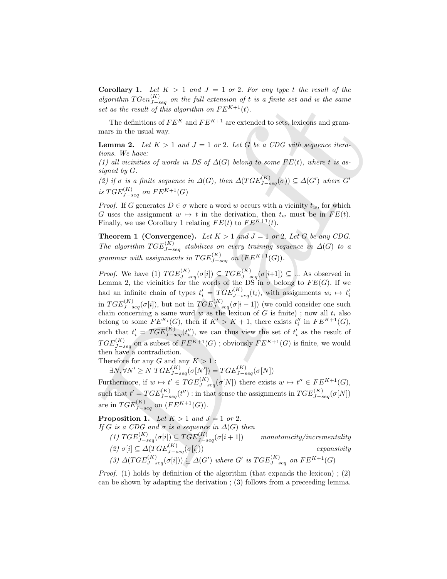**Corollary 1.** Let  $K > 1$  and  $J = 1$  or 2. For any type t the result of the algorithm  $TGen^{(K)}_{J-seq}$  on the full extension of t is a finite set and is the same set as the result of this algorithm on  $FE^{K+1}(t)$ .

The definitions of  $FE^{K}$  and  $FE^{K+1}$  are extended to sets, lexicons and grammars in the usual way.

**Lemma 2.** Let  $K > 1$  and  $J = 1$  or 2. Let G be a CDG with sequence iterations. We have:

(1) all vicinities of words in DS of  $\Delta(G)$  belong to some  $FE(t)$ , where t is assigned by G.

(2) if  $\sigma$  is a finite sequence in  $\Delta(G)$ , then  $\Delta(TGE^{(K)}_{J-seq}(\sigma)) \subseteq \Delta(G')$  where G' is  $TGE^{(K)}_{J-seq}$  on  $FE^{K+1}(G)$ 

*Proof.* If G generates  $D \in \sigma$  where a word w occurs with a vicinity  $t_w$ , for which G uses the assignment  $w \mapsto t$  in the derivation, then  $t_w$  must be in  $FE(t)$ . Finally, we use Corollary 1 relating  $FE(t)$  to  $FE^{K+1}(t)$ .

**Theorem 1 (Convergence).** Let  $K > 1$  and  $J = 1$  or 2. Let G be any CDG. The algorithm  $TGE^{(K)}_{J-seq}$  stabilizes on every training sequence in  $\Delta(G)$  to a grammar with assignments in  $TGE^{(K)}_{J-seq}$  on  $(FE^{K+1}(G)).$ 

agains<br>functions  $1 \csc^2 n$ , for the pull extension of  $F E^K$  is a ginde set and is the same<br>set as the result of this algorithm on  $F E^K$ <sup>14</sup>(i).<br>The definitions of  $F E^K$  and  $F E^{K+1}$  are extended to sets, because and gra *Proof.* We have (1)  $TGE^{(K)}_{J-seq}(\sigma[i]) \subseteq TGE^{(K)}_{J-seq}(\sigma[i+1]) \subseteq ...$  As observed in Lemma 2, the vicinities for the words of the DS in  $\sigma$  belong to  $FE(G)$ . If we had an infinite chain of types  $t'_{i} = TGE^{(K)}_{J-seq}(t_i)$ , with assignments  $w_i \mapsto t'_{i}$ in  $TGE^{(K)}_{J-seq}(\sigma[i]),$  but not in  $TGE^{(K)}_{J-seq}(\sigma[i-1])$  (we could consider one such chain concerning a same word w as the lexicon of  $G$  is finite); now all  $t_i$  also belong to some  $FE^{K_i}(G)$ , then if  $K' > K + 1$ , there exists  $t''_i$  in  $FE^{K+1}(G)$ , such that  $t'_{i} = TGE^{(K)}_{J-seq}(t''_{i}),$  we can thus view the set of  $t'_{i}$  as the result of  $TGE^{(K)}_{J-seq}$  on a subset of  $FE^{K+1}(G)$  ; obviously  $FE^{K+1}(G)$  is finite, we would then have a contradiction.

Therefore for any  $G$  and any  $K>1$  :

 $\exists N, \forall N' \geq N \; TGE^{(K)}_{J-seq} (\sigma[N']) = TGE^{(K)}_{J-seq} (\sigma[N])$ 

Furthermore, if  $w \mapsto t' \in TGE^{(K)}_{J-seq}(\sigma[N])$  there exists  $w \mapsto t'' \in FE^{K+1}(G)$ , such that  $t' = TGE^{(K)}_{J-seq}(t'')$  : in that sense the assignments in  $TGE^{(K)}_{J-seq}(\sigma[N])$ are in  $TGE^{(K)}_{J-seq}$  on  $(FE^{K+1}(G)).$ 

**Proposition 1.** Let  $K > 1$  and  $J = 1$  or 2. If G is a CDG and  $\sigma$  is a sequence in  $\Delta(G)$  then (1)  $TGE^{(K)}_{J-seq}(\sigma[i]) \subseteq TGE^{(K)}_{J-s}$  $monotonicity/incrementality$ (2)  $\sigma[i] \subseteq \Delta(TGE^{(K)}_{J-seq}(\sigma[i]))$  expansivity (3)  $\Delta (TGE^{(K)}_{J-seq}(\sigma[i])) \subseteq \Delta(G')$  where G' is  $TGE^{(K)}_{J-seq}$  on  $FE^{K+1}(G)$ 

*Proof.* (1) holds by definition of the algorithm (that expands the lexicon); (2) can be shown by adapting the derivation ; (3) follows from a preceeding lemma.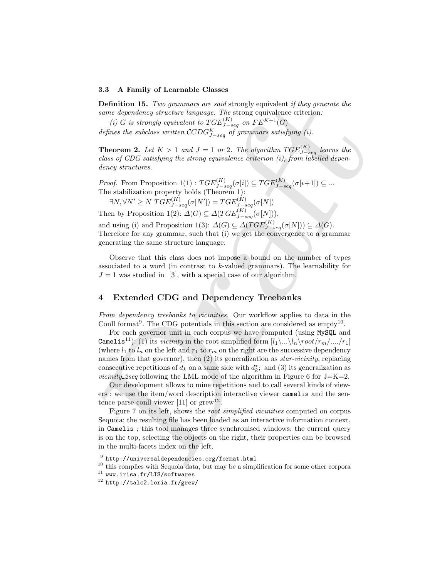#### 3.3 A Family of Learnable Classes

Definition 15. Two grammars are said strongly equivalent if they generate the same dependency structure language. The strong equivalence criterion:

(i) G is strongly equivalent to  $TGE^{(K)}_{J-seq}$  on  $FE^{K+1}(G)$ 

defines the subclass written  $\mathcal{CC}DG_{J-seq}^K$  of grammars satisfying (i).

**Theorem 2.** Let  $K > 1$  and  $J = 1$  or 2. The algorithm  $TGE^{(K)}_{J-seq}$  learns the class of CDG satisfying the strong equivalence criterion (i), from labelled dependency structures.

*Proof.* From Proposition 1(1) :  $TGE^{(K)}_{J-seq}(\sigma[i]) \subseteq TGE^{(K)}_{J-seq}(\sigma[i+1]) \subseteq ...$ The stabilization property holds (Theorem 1):

 $\exists N, \forall N' \geq N \; TGE^{(K)}_{J-seq} (\sigma[N']) = TGE^{(K)}_{J-seq} (\sigma[N])$ 

Then by Proposition 1(2):  $\Delta(G) \subseteq \Delta(TGE^{(K)}_{J-seq}(\sigma[N]),$ 

and using (i) and Proposition 1(3):  $\Delta(G) \subseteq \Delta(TGE^{(K)}_{J-seq}(\sigma[N])) \subseteq \Delta(G)$ . Therefore for any grammar, such that (i) we get the convergence to a grammar generating the same structure language.

Observe that this class does not impose a bound on the number of types associated to a word (in contrast to  $k$ -valued grammars). The learnability for  $J = 1$  was studied in [3], with a special case of our algorithm.

# 4 Extended CDG and Dependency Treebanks

From dependency treebanks to vicinities. Our workflow applies to data in the Conll format<sup>9</sup>. The CDG potentials in this section are considered as empty<sup>10</sup>.

Definition 15. The gramma one solid struggly equivalent if they generate the<br>same dependency structure language. The strong equivalence criterian:<br>(i) G is strongly equivalent to  $TGE_{\Delta_{reg}}^{(K)}$  on  $FE^{(K+1)}(G)$ <br>defines the For each governor unit in each corpus we have computed (using MySQL and Camelis<sup>11</sup>): (1) its *vicinity* in the root simplified form  $[l_1\ldots l_n\cdot\mathrm{root}/r_m\ldots/r_1]$ (where  $l_1$  to  $l_n$  on the left and  $r_1$  to  $r_m$  on the right are the successive dependency names from that governor), then (2) its generalization as *star-vicinity*, replacing consecutive repetitions of  $d_k$  on a same side with  $d_k^*$ ; and (3) its generalization as *vicinity 2seq* following the LML mode of the algorithm in Figure 6 for  $J=K=2$ .

Our development allows to mine repetitions and to call several kinds of viewers : we use the item/word description interactive viewer camelis and the sentence parse conll viewer [11] or  $\text{grow}^{12}$ .

Figure 7 on its left, shows the *root simplified vicinities* computed on corpus Sequoia; the resulting file has been loaded as an interactive information context, in Camelis ; this tool manages three synchronised windows: the current query is on the top, selecting the objects on the right, their properties can be browsed in the multi-facets index on the left.

 $^9$  http://universaldependencies.org/format.html

<sup>&</sup>lt;sup>10</sup> this complies with Sequoia data, but may be a simplification for some other corpora

 $11$  www.irisa.fr/LIS/softwares

 $12$  http://talc2.loria.fr/grew/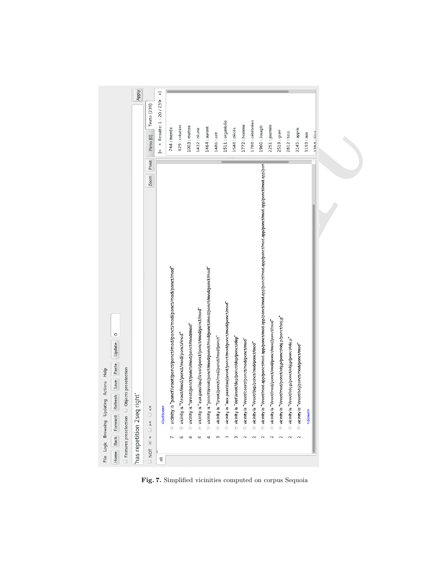| ⊼<br>< Results: 1 - 20 / 239<br>Texto (239)<br>1788 : célébrées<br>1511 : organisée<br>1772 : homme<br>2251 : journée<br>829 : création<br>1003 : mettre<br>1960: Joseph<br>1464 : auront<br>744 : menée<br>1432 : réunir<br>1548 : décès<br>3145 : appris<br>2519 : gravi<br>2812:tels<br>1486 : ont<br>3193: aux<br>Picto (0)<br>$\frac{v}{2}$<br>Pivot<br>$\oplus$ vicinity is "Nroot/mod.app/ponct/mod.app/ponct/mod.app/ponct/mod.app/ponct/mod.app/ponct/mod.app/ponct/mod.app/pon $\vdash$<br>Zoom<br>$\equiv$ vicinity is "ponct\\root/ponct/ponct/mod/ponct/mod/ponct/mod/ponct/mod"<br>is "ponct\troot/ponct/mod/ponct/mod/ponct/mod/ponct/mod/ponct/mod"<br>is "aux.pass\\suj\\root/ponct/mod/ponct/mod/ponct/mod"<br>is "aux.pass\\suj\\root/ponct/ponct/mod/ponct/mod"<br>$\pm$ vicinity is "\\root/mod/ponct/obj.p/ponct/obj.p/ponct/obj.p"<br>$\pm$ vicinity is "\\root/mod/ponct/mod/ponct/mod/ponct/mod"<br>is "\troot/ponct/ponct/mod/ponct/mod/mod"<br>is "\troot/mod/ponct/mod/ponct/mod"<br>is "\\root/ponct/mod/ponct/mod/ponct"<br>is "det\\root/dep/ponct/dep/ponct/dep"<br>$\equiv$ vicinity is "\\root/obj.p/ponct/obj.p/ponct/obj.p"<br>$\pm$ vicinity is "\\root/coord/ponct/mod/ponct/mod"<br>$\pm$ vicinity is "\\root/dep/ponct/mod/ponct/mod"<br>$\pm$ vicinity is "\\root/obj/ponct/mod/ponct/mod"<br>$\frac{1}{\sqrt{2}}$<br><bottom><br/>⊞ vicinity<br/><b>⊞</b> vicinity<br/>⊞ vicinity<br/><b>⊞</b> vicinity<br/><b>⊞</b> vicinity<br/>+ vicinity<br/><b>⊞</b> vicinity<br/><math>\circ</math> =&lt; <math>\circ</math><br/><math display="inline">\bar{\rm H}</math><br/>3<br/><math display="inline">\sim</math><br/>G<br/>3<br/>3<br/><math display="inline">\sim</math><br/><math display="inline">\sim</math><br/><math display="inline">\sim</math><br/><math display="inline">\sim</math><br/><math display="inline">\sim</math><br/><math display="inline">\sim</math><br/>4<br/>4<br/>4<br/><math display="inline">_{\odot}</math></bottom> | $338A + 64A$<br><down<br><math>\Box</math> NOT</down<br> | $\Box$ Features preselection $\Box$ Objects preselection<br>has repetition 2seq right | Apply |
|-------------------------------------------------------------------------------------------------------------------------------------------------------------------------------------------------------------------------------------------------------------------------------------------------------------------------------------------------------------------------------------------------------------------------------------------------------------------------------------------------------------------------------------------------------------------------------------------------------------------------------------------------------------------------------------------------------------------------------------------------------------------------------------------------------------------------------------------------------------------------------------------------------------------------------------------------------------------------------------------------------------------------------------------------------------------------------------------------------------------------------------------------------------------------------------------------------------------------------------------------------------------------------------------------------------------------------------------------------------------------------------------------------------------------------------------------------------------------------------------------------------------------------------------------------------------------------------------------------------------------------------------------------------------------------------------------------------------------------------------------------------------------------------------------------------------------------------------------------------------------------------------------------------------------------------------------------------------------------------------|----------------------------------------------------------|---------------------------------------------------------------------------------------|-------|
|                                                                                                                                                                                                                                                                                                                                                                                                                                                                                                                                                                                                                                                                                                                                                                                                                                                                                                                                                                                                                                                                                                                                                                                                                                                                                                                                                                                                                                                                                                                                                                                                                                                                                                                                                                                                                                                                                                                                                                                           |                                                          |                                                                                       |       |
|                                                                                                                                                                                                                                                                                                                                                                                                                                                                                                                                                                                                                                                                                                                                                                                                                                                                                                                                                                                                                                                                                                                                                                                                                                                                                                                                                                                                                                                                                                                                                                                                                                                                                                                                                                                                                                                                                                                                                                                           |                                                          |                                                                                       |       |
|                                                                                                                                                                                                                                                                                                                                                                                                                                                                                                                                                                                                                                                                                                                                                                                                                                                                                                                                                                                                                                                                                                                                                                                                                                                                                                                                                                                                                                                                                                                                                                                                                                                                                                                                                                                                                                                                                                                                                                                           |                                                          |                                                                                       |       |
|                                                                                                                                                                                                                                                                                                                                                                                                                                                                                                                                                                                                                                                                                                                                                                                                                                                                                                                                                                                                                                                                                                                                                                                                                                                                                                                                                                                                                                                                                                                                                                                                                                                                                                                                                                                                                                                                                                                                                                                           |                                                          |                                                                                       |       |
|                                                                                                                                                                                                                                                                                                                                                                                                                                                                                                                                                                                                                                                                                                                                                                                                                                                                                                                                                                                                                                                                                                                                                                                                                                                                                                                                                                                                                                                                                                                                                                                                                                                                                                                                                                                                                                                                                                                                                                                           |                                                          |                                                                                       |       |
|                                                                                                                                                                                                                                                                                                                                                                                                                                                                                                                                                                                                                                                                                                                                                                                                                                                                                                                                                                                                                                                                                                                                                                                                                                                                                                                                                                                                                                                                                                                                                                                                                                                                                                                                                                                                                                                                                                                                                                                           |                                                          |                                                                                       |       |
|                                                                                                                                                                                                                                                                                                                                                                                                                                                                                                                                                                                                                                                                                                                                                                                                                                                                                                                                                                                                                                                                                                                                                                                                                                                                                                                                                                                                                                                                                                                                                                                                                                                                                                                                                                                                                                                                                                                                                                                           |                                                          |                                                                                       |       |
|                                                                                                                                                                                                                                                                                                                                                                                                                                                                                                                                                                                                                                                                                                                                                                                                                                                                                                                                                                                                                                                                                                                                                                                                                                                                                                                                                                                                                                                                                                                                                                                                                                                                                                                                                                                                                                                                                                                                                                                           |                                                          |                                                                                       |       |
|                                                                                                                                                                                                                                                                                                                                                                                                                                                                                                                                                                                                                                                                                                                                                                                                                                                                                                                                                                                                                                                                                                                                                                                                                                                                                                                                                                                                                                                                                                                                                                                                                                                                                                                                                                                                                                                                                                                                                                                           |                                                          |                                                                                       |       |
|                                                                                                                                                                                                                                                                                                                                                                                                                                                                                                                                                                                                                                                                                                                                                                                                                                                                                                                                                                                                                                                                                                                                                                                                                                                                                                                                                                                                                                                                                                                                                                                                                                                                                                                                                                                                                                                                                                                                                                                           |                                                          |                                                                                       |       |
|                                                                                                                                                                                                                                                                                                                                                                                                                                                                                                                                                                                                                                                                                                                                                                                                                                                                                                                                                                                                                                                                                                                                                                                                                                                                                                                                                                                                                                                                                                                                                                                                                                                                                                                                                                                                                                                                                                                                                                                           |                                                          |                                                                                       |       |
|                                                                                                                                                                                                                                                                                                                                                                                                                                                                                                                                                                                                                                                                                                                                                                                                                                                                                                                                                                                                                                                                                                                                                                                                                                                                                                                                                                                                                                                                                                                                                                                                                                                                                                                                                                                                                                                                                                                                                                                           |                                                          |                                                                                       |       |
|                                                                                                                                                                                                                                                                                                                                                                                                                                                                                                                                                                                                                                                                                                                                                                                                                                                                                                                                                                                                                                                                                                                                                                                                                                                                                                                                                                                                                                                                                                                                                                                                                                                                                                                                                                                                                                                                                                                                                                                           |                                                          |                                                                                       |       |
|                                                                                                                                                                                                                                                                                                                                                                                                                                                                                                                                                                                                                                                                                                                                                                                                                                                                                                                                                                                                                                                                                                                                                                                                                                                                                                                                                                                                                                                                                                                                                                                                                                                                                                                                                                                                                                                                                                                                                                                           |                                                          |                                                                                       |       |
|                                                                                                                                                                                                                                                                                                                                                                                                                                                                                                                                                                                                                                                                                                                                                                                                                                                                                                                                                                                                                                                                                                                                                                                                                                                                                                                                                                                                                                                                                                                                                                                                                                                                                                                                                                                                                                                                                                                                                                                           |                                                          |                                                                                       |       |
|                                                                                                                                                                                                                                                                                                                                                                                                                                                                                                                                                                                                                                                                                                                                                                                                                                                                                                                                                                                                                                                                                                                                                                                                                                                                                                                                                                                                                                                                                                                                                                                                                                                                                                                                                                                                                                                                                                                                                                                           |                                                          |                                                                                       |       |
|                                                                                                                                                                                                                                                                                                                                                                                                                                                                                                                                                                                                                                                                                                                                                                                                                                                                                                                                                                                                                                                                                                                                                                                                                                                                                                                                                                                                                                                                                                                                                                                                                                                                                                                                                                                                                                                                                                                                                                                           |                                                          |                                                                                       |       |
|                                                                                                                                                                                                                                                                                                                                                                                                                                                                                                                                                                                                                                                                                                                                                                                                                                                                                                                                                                                                                                                                                                                                                                                                                                                                                                                                                                                                                                                                                                                                                                                                                                                                                                                                                                                                                                                                                                                                                                                           |                                                          |                                                                                       |       |
|                                                                                                                                                                                                                                                                                                                                                                                                                                                                                                                                                                                                                                                                                                                                                                                                                                                                                                                                                                                                                                                                                                                                                                                                                                                                                                                                                                                                                                                                                                                                                                                                                                                                                                                                                                                                                                                                                                                                                                                           |                                                          |                                                                                       |       |

Fig. 7. Simplified vicinities computed on corpus Sequoia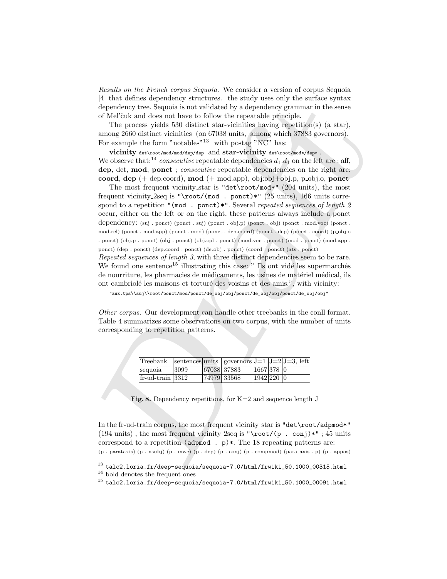Results on the French corpus Sequoia. We consider a version of corpus Sequoia [4] that defines dependency structures. the study uses only the surface syntax dependency tree. Sequoia is not validated by a dependency grammar in the sense of Mel'čuk and does not have to follow the repeatable principle.

The process yields 530 distinct star-vicinities having repetition(s) (a star), among 2660 distinct vicinities (on 67038 units, among which 37883 governors). For example the form "notables"<sup>13</sup> with postag "NC" has:

vicinity det\root/mod/mod/dep/dep and star-vicinity det\root/mod\*/dep\*. We observe that:<sup>14</sup> consecutive repeatable dependencies  $d_1 \cdot d_1$  on the left are : aff, dep, det, mod, ponct; consecutive repeatable dependencies on the right are: coord, dep  $(+)$  dep.coord), mod  $(+)$  mod.app), obj:obj $+$ obj.p, p\_obj.o, ponct

pina demonstrations to the same base of the same pina since suppose of the since suppose the same of Mehanizoty tree. Sequels is not validated by a dependency grammar in the sense of Mehanizoty tree. Sequels is not valida The most frequent vicinity\_star is "det\root/mod\*" (204 units), the most frequent vicinity 2seq is "\root/(mod . ponct)\*" (25 units), 166 units correspond to a repetition "(mod . ponct)\*". Several repeated sequences of length 2 occur, either on the left or on the right, these patterns always include a ponct dependency: (suj . ponct) (ponct . suj) (ponct . obj.p) (ponct . obj) (ponct . mod.voc) (ponct . mod.rel) (ponct . mod.app) (ponct . mod) (ponct . dep.coord) (ponct . dep) (ponct . coord) (p obj.o . ponct) (obj.p . ponct) (obj . ponct) (obj.cpl . ponct) (mod.voc . ponct) (mod . ponct) (mod.app . ponct) (dep . ponct) (dep.coord . ponct) (de\_obj . ponct) (coord . ponct) (ats . ponct)

Repeated sequences of length 3, with three distinct dependencies seem to be rare. We found one sentence<sup>15</sup> illustrating this case:  $"$  Ils ont vidé les supermarchés de nourriture, les pharmacies de médicaments, les usines de matériel médical, ils ont cambriolé les maisons et torturé des voisins et des amis.", with vicinity:

"aux.tps\\suj\\root/ponct/mod/ponct/de\_obj/obj/ponct/de\_obj/obj/ponct/de\_obj/obj"

Other corpus. Our development can handle other treebanks in the conll format. Table 4 summarizes some observations on two corpus, with the number of units corresponding to repetition patterns.

| Treebank   sentences units   governors $J=1$ $J=2$ $J=3$ , left |      |             |             |            |  |
|-----------------------------------------------------------------|------|-------------|-------------|------------|--|
| sequoia                                                         | 3099 |             | 67038 37883 | 1667 378 0 |  |
| $ $ fr-ud-train 3312                                            |      | 74979 33568 |             | 1942 220 0 |  |

Fig. 8. Dependency repetitions, for  $K=2$  and sequence length J

In the fr-ud-train corpus, the most frequent vicinity star is "det\root/adpmod\*" (194 units), the most frequent vicinity 2seq is "\root/(p . conj)\*"; 45 units correspond to a repetition ( $\alpha$ dpmod . p)\*. The 18 repeating patterns are:

<sup>(</sup>p . parataxis) (p . nsubj) (p . mwe) (p . dep) (p . conj) (p . compmod) (parataxis . p) (p . appos)

 $^{13}$  talc2.loria.fr/deep-sequoia/sequoia-7.0/html/frwiki\_50.1000\_00315.html

 $^{\rm 14}$  bold denotes the frequent ones

 $^{15}$  talc2.loria.fr/deep-sequoia/sequoia-7.0/html/frwiki\_50.1000\_00091.html